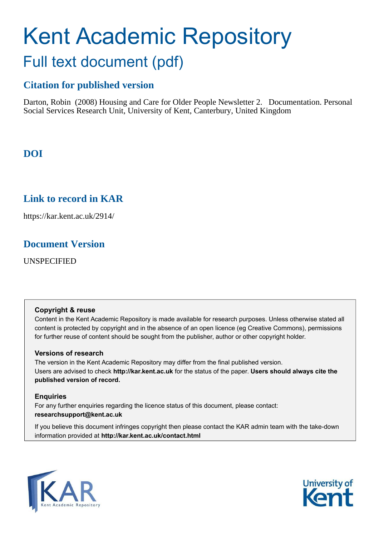# Kent Academic Repository Full text document (pdf)

## **Citation for published version**

Darton, Robin (2008) Housing and Care for Older People Newsletter 2. Documentation. Personal Social Services Research Unit, University of Kent, Canterbury, United Kingdom

## **DOI**

## **Link to record in KAR**

https://kar.kent.ac.uk/2914/

## **Document Version**

UNSPECIFIED

#### **Copyright & reuse**

Content in the Kent Academic Repository is made available for research purposes. Unless otherwise stated all content is protected by copyright and in the absence of an open licence (eg Creative Commons), permissions for further reuse of content should be sought from the publisher, author or other copyright holder.

#### **Versions of research**

The version in the Kent Academic Repository may differ from the final published version. Users are advised to check **http://kar.kent.ac.uk** for the status of the paper. **Users should always cite the published version of record.**

#### **Enquiries**

For any further enquiries regarding the licence status of this document, please contact: **researchsupport@kent.ac.uk**

If you believe this document infringes copyright then please contact the KAR admin team with the take-down information provided at **http://kar.kent.ac.uk/contact.html**



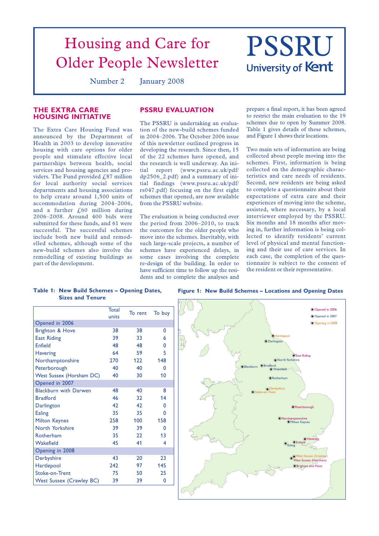## Housing and Care for PSSRU<br>Dider People Newsletter University of Kent Older People Newsletter

Number 2 January 2008

#### **THE EXTRA CARE HOUSING INITIATIVE**

The Extra Care Housing Fund was announced by the Department of Health in 2003 to develop innovative housing with care options for older people and stimulate effective local partnerships between health, social services and housing agencies and providers. The Fund provided  $f_s$ 87 million for local authority social services departments and housing associations to help create around 1,500 units of accommodation during 2004–2006, and a further  $f<sub>0</sub>60$  million during 2006–2008. Around 400 bids were submitted for these funds, and 61 were successful. The successful schemes include both new build and remodelled schemes, although some of the new-build schemes also involve the remodelling of existing buildings as part of the development.

#### **PSSRU EVALUATION**

The PSSRU is undertaking an evaluation of the new-build schemes funded in 2004–2006. The October 2006 issue of this newsletter outlined progress in developing the research. Since then, 15 of the 22 schemes have opened, and the research is well underway. An initial report (www.pssru.ac.uk/pdf/ dp2506\_2.pdf) and a summary of initial findings (www.pssru.ac.uk/pdf/ rs047.pdf) focusing on the first eight schemes that opened, are now available from the PSSRU website.

The evaluation is being conducted over the period from 2006–2010, to track the outcomes for the older people who move into the schemes. Inevitably, with such large-scale projects, a number of schemes have experienced delays, in some cases involving the complete re-design of the building. In order to have sufficient time to follow up the residents and to complete the analyses and prepare a final report, it has been agreed to restrict the main evaluation to the 19 schemes due to open by Summer 2008. Table 1 gives details of these schemes, and Figure 1 shows their locations.

Two main sets of information are being collected about people moving into the schemes. First, information is being collected on the demographic characteristics and care needs of residents. Second, new residents are being asked to complete a questionnaire about their expectations of extra care and their experiences of moving into the scheme, assisted, where necessary, by a local interviewer employed by the PSSRU. Six months and 18 months after moving in, further information is being collected to identify residents' current level of physical and mental functioning and their use of care services. In each case, the completion of the questionnaire is subject to the consent of the resident or their representative.

**Table 1: New Build Schemes – Opening Dates, Sizes and Tenure**

**Figure 1: New Build Schemes – Locations and Opening Dates**

|                                 | <b>Total</b><br>units | To rent | To buy |
|---------------------------------|-----------------------|---------|--------|
| Opened in 2006                  |                       |         |        |
| <b>Brighton &amp; Hove</b>      | 38                    | 38      | 0      |
| <b>East Riding</b>              | 39                    | 33      | 6      |
| <b>Enfield</b>                  | 48                    | 48      | 0      |
| <b>Havering</b>                 | 64                    | 59      | 5      |
| Northamptonshire                | 270                   | 122     | 148    |
| Peterborough                    | 40                    | 40      | 0      |
| <b>West Sussex (Horsham DC)</b> | 40                    | 30      | 10     |
| Opened in 2007                  |                       |         |        |
| <b>Blackburn with Darwen</b>    | 48                    | 40      | 8      |
| <b>Bradford</b>                 | 46                    | 32      | 14     |
| Darlington                      | 42                    | 42      | 0      |
| Ealing                          | 35                    | 35      | 0      |
| <b>Milton Keynes</b>            | 258                   | 100     | 158    |
| North Yorkshire                 | 39                    | 39      | 0      |
| Rotherham                       | 35                    | 22      | 13     |
| Wakefield                       | 45                    | 41      | 4      |
| Opening in 2008                 |                       |         |        |
| Derbyshire                      | 43                    | 20      | 23     |
| Hartlepool                      | 242                   | 97      | 145    |
| Stoke-on-Trent                  | 75                    | 50      | 25     |
| <b>West Sussex (Crawley BC)</b> | 39                    | 39      | 0      |